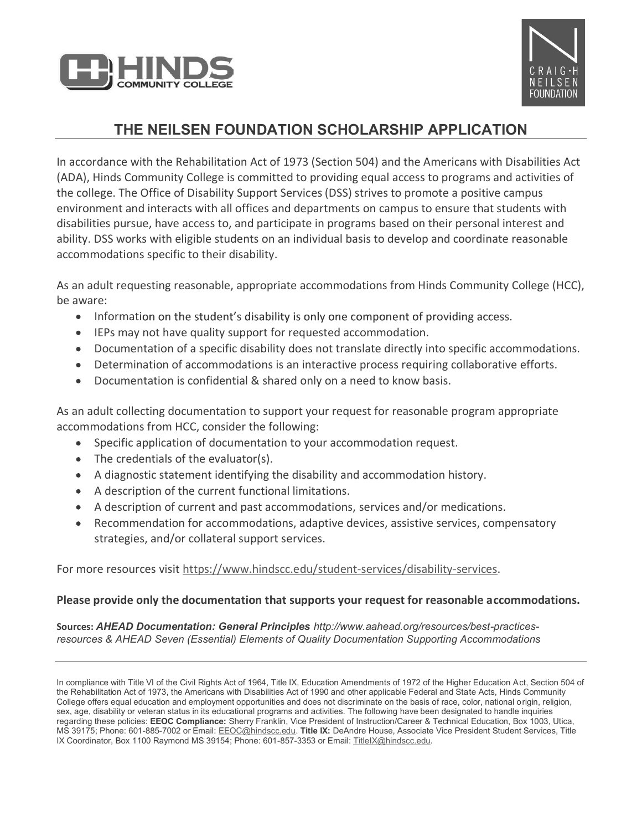



CRAIG-H<br>
COMMUNITY COLLEGE<br>
THE NEILSEN FOUNDATION SCHOLARSHIP APPLICATION<br>
IS Community College is committed to providing equal access to programs and activities Act<br>
Is Community College is committed to providing equal a In accordance with the Rehabilitation Act of 1973 (Section 504) and the Americans with Disabilities Act (ADA), Hinds Community College is committed to providing equal access to programs and activities of the college. The Office of Disability Support Services (DSS) strives to promote a positive campus environment and interacts with all offices and departments on campus to ensure that students with disabilities pursue, have access to, and participate in programs based on their personal interest and ability. DSS works with eligible students on an individual basis to develop and coordinate reasonable accommodations specific to their disability.

As an adult requesting reasonable, appropriate accommodations from Hinds Community College (HCC), be aware:

- $\bullet$ Information on the student's disability is only one component of providing access.
- IEPs may not have quality support for requested accommodation.
- Documentation of a specific disability does not translate directly into specific accommodations.
- Determination of accommodations is an interactive process requiring collaborative efforts.
- Documentation is confidential & shared only on a need to know basis.  $\bullet$

As an adult collecting documentation to support your request for reasonable program appropriate accommodations from HCC, consider the following:

- Specific application of documentation to your accommodation request.
- The credentials of the evaluator(s).
- A diagnostic statement identifying the disability and accommodation history.
- A description of the current functional limitations.
- A description of current and past accommodations, services and/or medications.
- Recommendation for accommodations, adaptive devices, assistive services, compensatory strategies, and/or collateral support services.

For more resources visit https://www.hindscc.edu/student-services/disability-services.

#### Please provide only the documentation that supports your request for reasonable accommodations.

Sources: AHEAD Documentation: General Principles http://www.aahead.org/resources/best-practicesresources & AHEAD Seven (Essential) Elements of Quality Documentation Supporting Accommodations

In compliance with Title VI of the Civil Rights Act of 1964, Title IX, Education Amendments of 1972 of the Higher Education Act, Section 504 of the Rehabilitation Act of 1973, the Americans with Disabilities Act of 1990 and other applicable Federal and State Acts, Hinds Community College offers equal education and employment opportunities and does not discriminate on the basis of race, color, national origin, religion, sex, age, disability or veteran status in its educational programs and activities. The following have been designated to handle inquiries regarding these policies: EEOC Compliance: Sherry Franklin, Vice President of Instruction/Career & Technical Education, Box 1003, Utica, MS 39175; Phone: 601-885-7002 or Email: EEOC@hindscc.edu. Title IX: DeAndre House, Associate Vice President Student Services, Title IX Coordinator, Box 1100 Raymond MS 39154; Phone: 601-857-3353 or Email: TitleIX@hindscc.edu.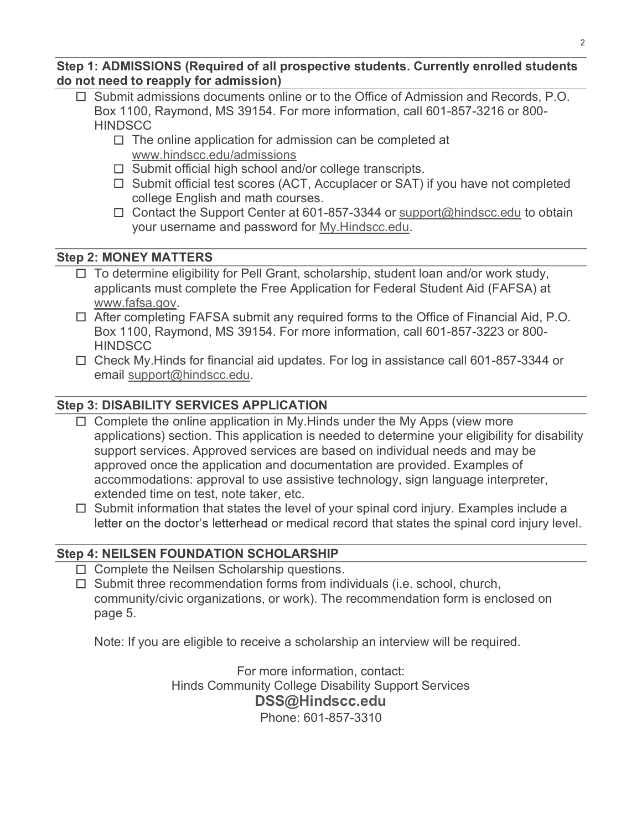Step 1: ADMISSIONS (Required of all prospective students. Currently enrolled students do not need to reapply for admission)

- $\Box$  Submit admissions documents online or to the Office of Admission and Records, P.O. The **Example 1200, Solution of all prospective students. Currently enrolled students**<br> **Example to reapply for admission)**<br>
Submit admissions documents online or to the Office of Admission and Records, P.O.<br>
Box 1100, Ra **HINDSCC** 
	- $\Box$  The online application for admission can be completed at www.hindscc.edu/admissions
	- $\Box$  Submit official high school and/or college transcripts.
	- $\Box$  Submit official test scores (ACT, Accuplacer or SAT) if you have not completed college English and math courses.
	- $\Box$  Contact the Support Center at 601-857-3344 or support@hindscc.edu to obtain your username and password for My.Hindscc.edu.

#### Step 2: MONEY MATTERS

- $\Box$  To determine eligibility for Pell Grant, scholarship, student loan and/or work study, applicants must complete the Free Application for Federal Student Aid (FAFSA) at
- **EXECT ATTER SURFARE ATTLE ATTLE AND AID THEORY OF A SUBMING THEORY CONDUCT AND SUBMING THEORY AND DREAST AND SURFARE TO THE ONE CONTO THEORY AND SURFARE TO THEORY AND SURFARE TO THEORY AND SURFARE TO THEORY INDISCO.**<br> : ADMISSIONS (Required of all prospective students. Currently enrolled students<br>
need to reapply for admission)<br>
Submit admission accuments online or to the Office of Admission and Records, P.O.<br>
Box 1100, Raymond, MS 391 **HINDSCC**
- $\Box$  Check My. Hinds for financial aid updates. For log in assistance call 601-857-3344 or email support@hindscc.edu.

#### Step 3: DISABILITY SERVICES APPLICATION

- Www.hindscc.edu/admissions<br>  $\Box$  Submit official high school and/or college transcripts.<br>  $\Box$  Submit official test scores (ACT, Accuplacer or SAT) if you have not completed<br>  $\Box$  Contact the Support Center at 601-857-334 applications) section. This application is needed to determine your eligibility for disability support services. Approved services are based on individual needs and may be approved once the application and documentation are provided. Examples of  $\Box$  Contact the Support Center at 601-857-3344 or support@hindscc.edu to obtain<br>
your username and password for <u>My.Hindscc.edu</u>.<br>
To determine eligibility for Pell Grant, scholarship, student loan and/or work study,<br>
To your username and password for <u>My.Hindscc.edu</u>.<br> **EXECUTE TRES**<br>
To determine eligibility for Pell Grant, scholarship, student loan and/or work study,<br>
applicants must complete the Free Application for Federal Student Aid **EXECT MATTERS**<br>
To determine eligibility for Pell Grant, scholarship, student loan and/or work study,<br>
applicants must complete the Free Application for Federal Student Aid (FAFSA) at<br>
www.faffsa.gov.<br>
After completing FA For more information, contact:<br>
The application is needed to determine your eligibility for disability<br>
application is needed to determine your eligibility for disability<br>
and documentation are provided. Examples of<br>
tain
- letter on the doctor's letterhead or medical record that states the spinal cord injury level.

#### Step 4: NEILSEN FOUNDATION SCHOLARSHIP

- $\Box$  Complete the Neilsen Scholarship questions.
- $\Box$  Submit three recommendation forms from individuals (i.e. school, church, community/civic organizations, or work). The recommendation form is enclosed on page 5.

Note: If you are eligible to receive a scholarship an interview will be required.

Hinds Community College Disability Support Services DSS@Hindscc.edu Phone: 601-857-3310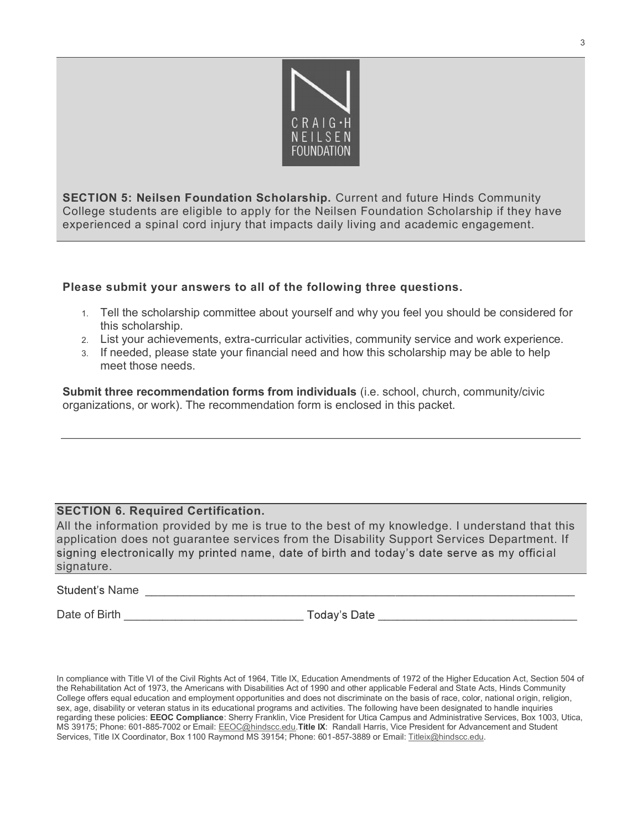

SECTION 5: Neilsen Foundation Scholarship. Current and future Hinds Community COLLEGE STATE STATE OF A RELL SERVICE STATE OF A RELL SERVICE TO A SERVICE TO A SERVICE TO A SERVICE STATE OF A SCHOLAR SCHOLARS TO A SCHOLARS TO A SCHOLARS TO A SCHOLARS TO A SCHOLARS TO A SCHOLARS TO A SCHOLARS TO A SCHO experienced a spinal cord injury that impacts daily living and academic engagement. 1. Tell the scholarship committee about yourself and why you feel you should be community begins to during the scholarship. Current and future Hinds Community begins where either a eligible to apply for the Nellsen Foundat

#### Please submit your answers to all of the following three questions.

- this scholarship.
- 2. List your achievements, extra-curricular activities, community service and work experience.
- 3. If needed, please state your financial need and how this scholarship may be able to help meet those needs.

Submit three recommendation forms from individuals (i.e. school, church, community/civic organizations, or work). The recommendation form is enclosed in this packet.

#### SECTION 6. Required Certification.

All the information provided by me is true to the best of my knowledge. I understand that this application does not guarantee services from the Disability Support Services Department. If signing electronically my printed name, date of birth and today's date serve as my official signature.

Name \_\_\_\_\_\_\_\_\_\_\_\_\_\_\_\_\_\_\_\_\_\_\_\_\_\_\_\_\_\_\_\_\_\_\_\_\_\_\_\_\_\_\_\_\_\_\_\_\_\_\_\_\_\_\_\_\_\_\_\_\_\_\_\_\_\_\_

Date of Birth **Example 2.1 and Security Contract Contract Contract Contract Contract Contract Contract Contract Contract Contract Contract Contract Contract Contract Contract Contract Contract Contract Contract Contract Co** 

In compliance with Title VI of the Civil Rights Act of 1964, Title IX, Education Amendments of 1972 of the Higher Education Act, Section 504 of the Rehabilitation Act of 1973, the Americans with Disabilities Act of 1990 and other applicable Federal and State Acts, Hinds Community College offers equal education and employment opportunities and does not discriminate on the basis of race, color, national origin, religion, sex, age, disability or veteran status in its educational programs and activities. The following have been designated to handle inquiries regarding these policies: EEOC Compliance: Sherry Franklin, Vice President for Utica Campus and Administrative Services, Box 1003, Utica, MS 39175; Phone: 601-885-7002 or Email: EEOC@hindscc.edu Title IX: Randall Harris, V SECTION 6. Required Certification.<br>
All the information provided by me is true to the best of my knowledge. I understand that this<br>
application does not guarantee services from the Disability Support Services Department. I Services, Title IX Coordinator, Box 1100 Raymond MS 39154; Phone: 601-857-3889 or Email: Titleix@hindscc.edu.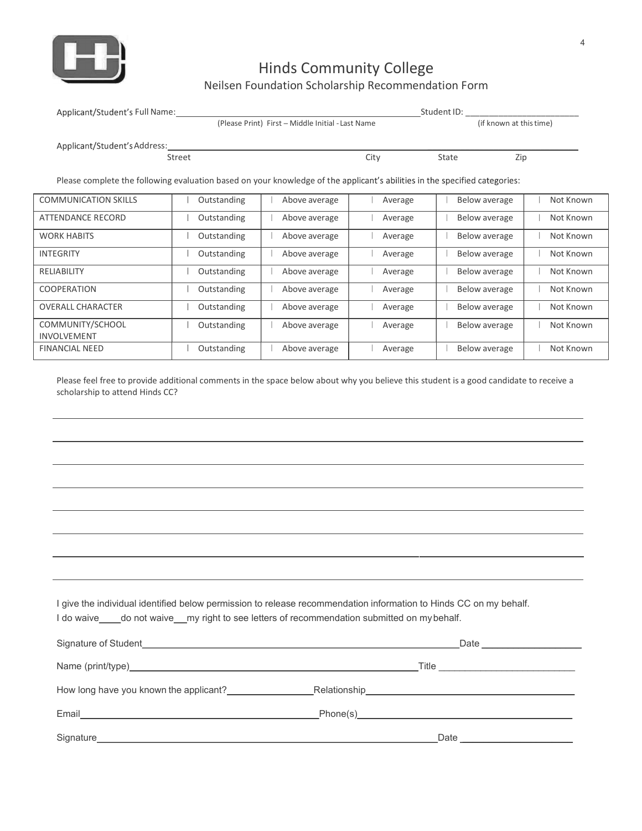

## Hinds Community College

### Neilsen Foundation Scholarship Recommendation Form

| <b>Hinds Community College</b><br>Neilsen Foundation Scholarship Recommendation Form<br>Applicant/Student's Full Name:<br>_Student ID: _<br>(Please Print) First - Middle Initial - Last Name<br>(if known at this time)<br>Applicant/Student's Address:<br>City<br>Street<br>State<br>Zip<br>Please complete the following evaluation based on your knowledge of the applicant's abilities in the specified categories:<br>Outstanding<br>Above average<br>Average<br>Below average<br>ATTENDANCE RECORD<br>Outstanding<br>Above average<br>Below average<br>Average<br><b>WORK HABITS</b><br>Outstanding<br>Above average<br>Below average<br>Average<br>INTEGRITY<br>Outstanding<br>Above average<br>Below average<br>Average<br>RELIABILITY<br>Outstanding<br>Above average<br>Below average<br>Average<br>Outstanding<br>Above average<br>Below average<br>Average<br><b>OVERALL CHARACTER</b><br>Outstanding<br>Above average<br>Below average<br>Average<br>COMMUNITY/SCHOOL<br>Outstanding<br>Below average<br>Above average<br>Average<br><b>FINANCIAL NEED</b><br>Outstanding<br>Above average<br>Below average<br>Average | Please feel free to provide additional comments in the space below about why you believe this student is a good candidate to receive a<br>scholarship to attend Hinds CC? |     |  |  |           |
|--------------------------------------------------------------------------------------------------------------------------------------------------------------------------------------------------------------------------------------------------------------------------------------------------------------------------------------------------------------------------------------------------------------------------------------------------------------------------------------------------------------------------------------------------------------------------------------------------------------------------------------------------------------------------------------------------------------------------------------------------------------------------------------------------------------------------------------------------------------------------------------------------------------------------------------------------------------------------------------------------------------------------------------------------------------------------------------------------------------------------------------|---------------------------------------------------------------------------------------------------------------------------------------------------------------------------|-----|--|--|-----------|
|                                                                                                                                                                                                                                                                                                                                                                                                                                                                                                                                                                                                                                                                                                                                                                                                                                                                                                                                                                                                                                                                                                                                      |                                                                                                                                                                           | HH, |  |  |           |
|                                                                                                                                                                                                                                                                                                                                                                                                                                                                                                                                                                                                                                                                                                                                                                                                                                                                                                                                                                                                                                                                                                                                      |                                                                                                                                                                           |     |  |  |           |
|                                                                                                                                                                                                                                                                                                                                                                                                                                                                                                                                                                                                                                                                                                                                                                                                                                                                                                                                                                                                                                                                                                                                      |                                                                                                                                                                           |     |  |  |           |
|                                                                                                                                                                                                                                                                                                                                                                                                                                                                                                                                                                                                                                                                                                                                                                                                                                                                                                                                                                                                                                                                                                                                      |                                                                                                                                                                           |     |  |  |           |
|                                                                                                                                                                                                                                                                                                                                                                                                                                                                                                                                                                                                                                                                                                                                                                                                                                                                                                                                                                                                                                                                                                                                      |                                                                                                                                                                           |     |  |  |           |
|                                                                                                                                                                                                                                                                                                                                                                                                                                                                                                                                                                                                                                                                                                                                                                                                                                                                                                                                                                                                                                                                                                                                      |                                                                                                                                                                           |     |  |  |           |
| <b>COMMUNICATION SKILLS</b><br>COOPERATION<br>INVOLVEMENT                                                                                                                                                                                                                                                                                                                                                                                                                                                                                                                                                                                                                                                                                                                                                                                                                                                                                                                                                                                                                                                                            |                                                                                                                                                                           |     |  |  |           |
|                                                                                                                                                                                                                                                                                                                                                                                                                                                                                                                                                                                                                                                                                                                                                                                                                                                                                                                                                                                                                                                                                                                                      |                                                                                                                                                                           |     |  |  | Not Known |
|                                                                                                                                                                                                                                                                                                                                                                                                                                                                                                                                                                                                                                                                                                                                                                                                                                                                                                                                                                                                                                                                                                                                      |                                                                                                                                                                           |     |  |  | Not Known |
|                                                                                                                                                                                                                                                                                                                                                                                                                                                                                                                                                                                                                                                                                                                                                                                                                                                                                                                                                                                                                                                                                                                                      |                                                                                                                                                                           |     |  |  | Not Known |
|                                                                                                                                                                                                                                                                                                                                                                                                                                                                                                                                                                                                                                                                                                                                                                                                                                                                                                                                                                                                                                                                                                                                      |                                                                                                                                                                           |     |  |  | Not Known |
|                                                                                                                                                                                                                                                                                                                                                                                                                                                                                                                                                                                                                                                                                                                                                                                                                                                                                                                                                                                                                                                                                                                                      |                                                                                                                                                                           |     |  |  | Not Known |
|                                                                                                                                                                                                                                                                                                                                                                                                                                                                                                                                                                                                                                                                                                                                                                                                                                                                                                                                                                                                                                                                                                                                      |                                                                                                                                                                           |     |  |  | Not Known |
|                                                                                                                                                                                                                                                                                                                                                                                                                                                                                                                                                                                                                                                                                                                                                                                                                                                                                                                                                                                                                                                                                                                                      |                                                                                                                                                                           |     |  |  | Not Known |
|                                                                                                                                                                                                                                                                                                                                                                                                                                                                                                                                                                                                                                                                                                                                                                                                                                                                                                                                                                                                                                                                                                                                      |                                                                                                                                                                           |     |  |  | Not Known |
|                                                                                                                                                                                                                                                                                                                                                                                                                                                                                                                                                                                                                                                                                                                                                                                                                                                                                                                                                                                                                                                                                                                                      |                                                                                                                                                                           |     |  |  | Not Known |
|                                                                                                                                                                                                                                                                                                                                                                                                                                                                                                                                                                                                                                                                                                                                                                                                                                                                                                                                                                                                                                                                                                                                      |                                                                                                                                                                           |     |  |  |           |
|                                                                                                                                                                                                                                                                                                                                                                                                                                                                                                                                                                                                                                                                                                                                                                                                                                                                                                                                                                                                                                                                                                                                      |                                                                                                                                                                           |     |  |  |           |
|                                                                                                                                                                                                                                                                                                                                                                                                                                                                                                                                                                                                                                                                                                                                                                                                                                                                                                                                                                                                                                                                                                                                      |                                                                                                                                                                           |     |  |  |           |
|                                                                                                                                                                                                                                                                                                                                                                                                                                                                                                                                                                                                                                                                                                                                                                                                                                                                                                                                                                                                                                                                                                                                      |                                                                                                                                                                           |     |  |  |           |
|                                                                                                                                                                                                                                                                                                                                                                                                                                                                                                                                                                                                                                                                                                                                                                                                                                                                                                                                                                                                                                                                                                                                      |                                                                                                                                                                           |     |  |  |           |
|                                                                                                                                                                                                                                                                                                                                                                                                                                                                                                                                                                                                                                                                                                                                                                                                                                                                                                                                                                                                                                                                                                                                      |                                                                                                                                                                           |     |  |  |           |
|                                                                                                                                                                                                                                                                                                                                                                                                                                                                                                                                                                                                                                                                                                                                                                                                                                                                                                                                                                                                                                                                                                                                      |                                                                                                                                                                           |     |  |  |           |

| <b>NCIAL NEED</b>                                                                                                                                                         | Outstanding                                                                                                                                                                                                                          | Above average | Average | Below average                                                                    | Not Known |
|---------------------------------------------------------------------------------------------------------------------------------------------------------------------------|--------------------------------------------------------------------------------------------------------------------------------------------------------------------------------------------------------------------------------------|---------------|---------|----------------------------------------------------------------------------------|-----------|
| Please feel free to provide additional comments in the space below about why you believe this student is a good candidate to receive a<br>scholarship to attend Hinds CC? |                                                                                                                                                                                                                                      |               |         |                                                                                  |           |
|                                                                                                                                                                           |                                                                                                                                                                                                                                      |               |         |                                                                                  |           |
|                                                                                                                                                                           |                                                                                                                                                                                                                                      |               |         |                                                                                  |           |
|                                                                                                                                                                           |                                                                                                                                                                                                                                      |               |         | ,我们也不会有什么。""我们的人,我们也不会有什么?""我们的人,我们也不会有什么?""我们的人,我们也不会有什么?""我们的人,我们也不会有什么?""我们的人 |           |
|                                                                                                                                                                           |                                                                                                                                                                                                                                      |               |         |                                                                                  |           |
|                                                                                                                                                                           |                                                                                                                                                                                                                                      |               |         |                                                                                  |           |
|                                                                                                                                                                           |                                                                                                                                                                                                                                      |               |         |                                                                                  |           |
|                                                                                                                                                                           |                                                                                                                                                                                                                                      |               |         |                                                                                  |           |
|                                                                                                                                                                           | I give the individual identified below permission to release recommendation information to Hinds CC on my behalf.<br>I do waive____do not waive__my right to see letters of recommendation submitted on mybehalf.                    |               |         |                                                                                  |           |
|                                                                                                                                                                           | Signature of Student <b>Contract Contract Contract Contract Contract Contract Contract Contract Contract Contract Contract Contract Contract Contract Contract Contract Contract Contract Contract Contract Contract Contract Co</b> |               |         |                                                                                  |           |
|                                                                                                                                                                           |                                                                                                                                                                                                                                      |               |         |                                                                                  |           |
|                                                                                                                                                                           | How long have you known the applicant? <b>Example 20 Relationship Example 20 Relationship</b>                                                                                                                                        |               |         |                                                                                  |           |
|                                                                                                                                                                           |                                                                                                                                                                                                                                      |               |         |                                                                                  |           |